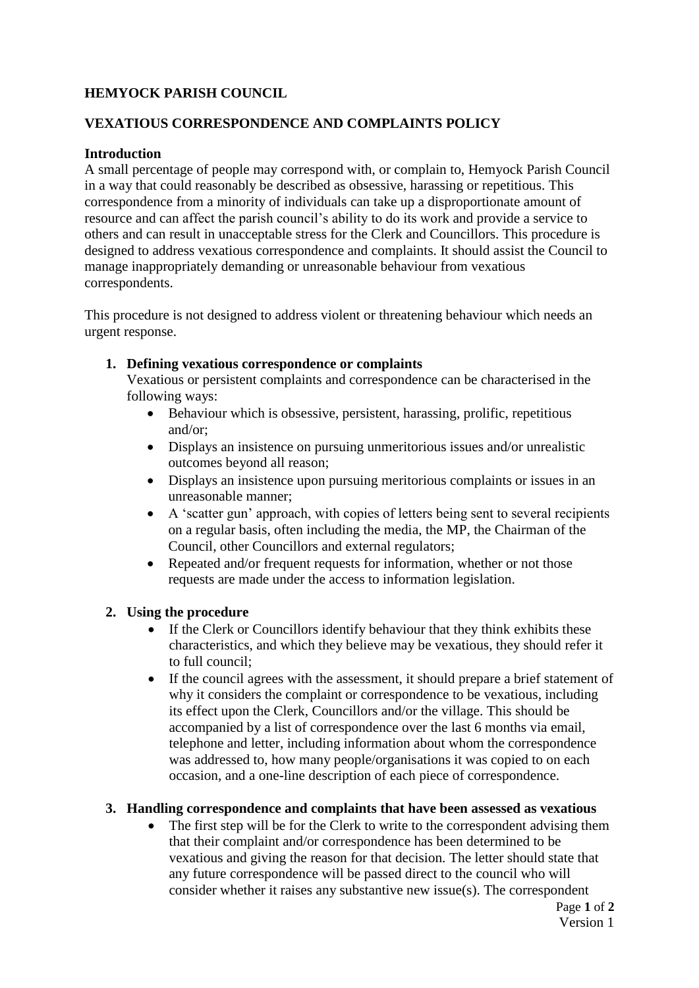# **HEMYOCK PARISH COUNCIL**

### **VEXATIOUS CORRESPONDENCE AND COMPLAINTS POLICY**

### **Introduction**

A small percentage of people may correspond with, or complain to, Hemyock Parish Council in a way that could reasonably be described as obsessive, harassing or repetitious. This correspondence from a minority of individuals can take up a disproportionate amount of resource and can affect the parish council's ability to do its work and provide a service to others and can result in unacceptable stress for the Clerk and Councillors. This procedure is designed to address vexatious correspondence and complaints. It should assist the Council to manage inappropriately demanding or unreasonable behaviour from vexatious correspondents.

This procedure is not designed to address violent or threatening behaviour which needs an urgent response.

#### **1. Defining vexatious correspondence or complaints**

Vexatious or persistent complaints and correspondence can be characterised in the following ways:

- Behaviour which is obsessive, persistent, harassing, prolific, repetitious and/or;
- Displays an insistence on pursuing unmeritorious issues and/or unrealistic outcomes beyond all reason;
- Displays an insistence upon pursuing meritorious complaints or issues in an unreasonable manner;
- A 'scatter gun' approach, with copies of letters being sent to several recipients on a regular basis, often including the media, the MP, the Chairman of the Council, other Councillors and external regulators;
- Repeated and/or frequent requests for information, whether or not those requests are made under the access to information legislation.

### **2. Using the procedure**

- If the Clerk or Councillors identify behaviour that they think exhibits these characteristics, and which they believe may be vexatious, they should refer it to full council;
- If the council agrees with the assessment, it should prepare a brief statement of why it considers the complaint or correspondence to be vexatious, including its effect upon the Clerk, Councillors and/or the village. This should be accompanied by a list of correspondence over the last 6 months via email, telephone and letter, including information about whom the correspondence was addressed to, how many people/organisations it was copied to on each occasion, and a one-line description of each piece of correspondence.

#### **3. Handling correspondence and complaints that have been assessed as vexatious**

 The first step will be for the Clerk to write to the correspondent advising them that their complaint and/or correspondence has been determined to be vexatious and giving the reason for that decision. The letter should state that any future correspondence will be passed direct to the council who will consider whether it raises any substantive new issue(s). The correspondent